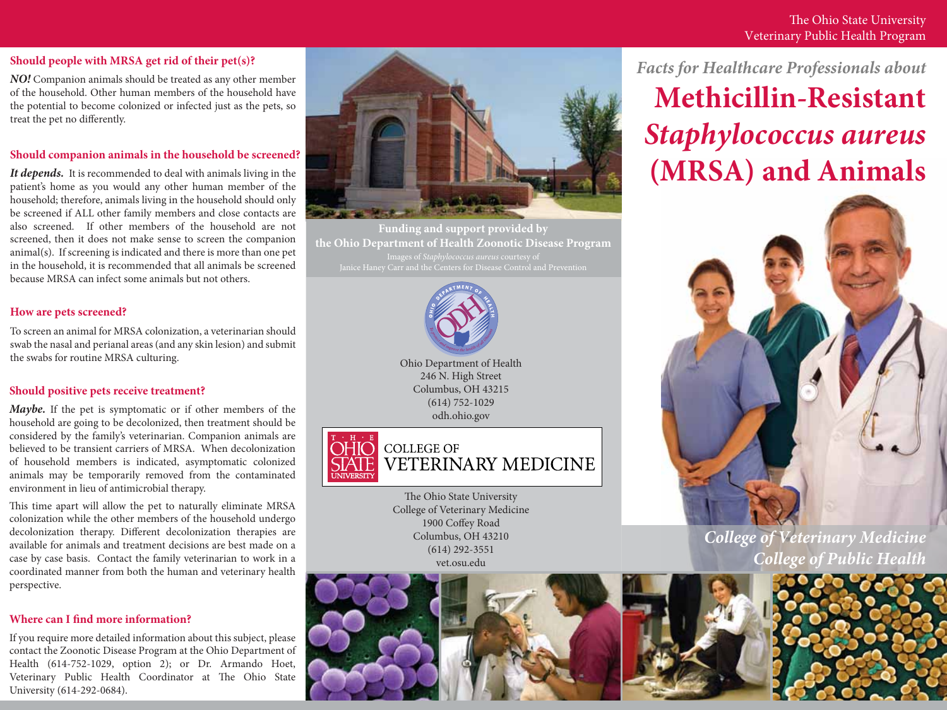#### **Should people with MRSA get rid of their pet(s)?**

*NO!* Companion animals should be treated as any other member of the household. Other human members of the household have the potential to become colonized or infected just as the pets, so treat the pet no differently.

# **Should companion animals in the household be screened?**

*It depends.* It is recommended to deal with animals living in the patient's home as you would any other human member of the household; therefore, animals living in the household should only be screened if ALL other family members and close contacts are also screened. If other members of the household are not screened, then it does not make sense to screen the companion animal(s). If screening is indicated and there is more than one pet in the household, it is recommended that all animals be screened because MRSA can infect some animals but not others.

# **How are pets screened?**

To screen an animal for MRSA colonization, a veterinarian should swab the nasal and perianal areas (and any skin lesion) and submit the swabs for routine MRSA culturing. Ohio Department of Health

# **Should positive pets receive treatment?**

*Maybe.* If the pet is symptomatic or if other members of the household are going to be decolonized, then treatment should be considered by the family's veterinarian. Companion animals are believed to be transient carriers of MRSA. When decolonization of household members is indicated, asymptomatic colonized animals may be temporarily removed from the contaminated environment in lieu of antimicrobial therapy.

This time apart will allow the pet to naturally eliminate MRSA colonization while the other members of the household undergo decolonization therapy. Different decolonization therapies are available for animals and treatment decisions are best made on a case by case basis. Contact the family veterinarian to work in a coordinated manner from both the human and veterinary health perspective.

# **Where can I find more information?**

If you require more detailed information about this subject, please contact the Zoonotic Disease Program at the Ohio Department of Health (614-752-1029, option 2); or Dr. Armando Hoet, Veterinary Public Health Coordinator at The Ohio State University (614-292-0684).



**Funding and support provided by the Ohio Department of Health Zoonotic Disease Program** Janice Haney Carr and the Centers for Disease Control and Prevention



246 N. High Street Columbus, OH 43215 (614) 752-1029 odh.ohio.gov



The Ohio State University College of Veterinary Medicine 1900 Coffey Road Columbus, OH 43210 (614) 292-3551 vet.osu.edu



*Facts for Healthcare Professionals about*

**Methicillin-Resistant** *Staphylococcus aureus* **(MRSA) and Animals**



# *College of Veterinary Medicine College of Public Health*